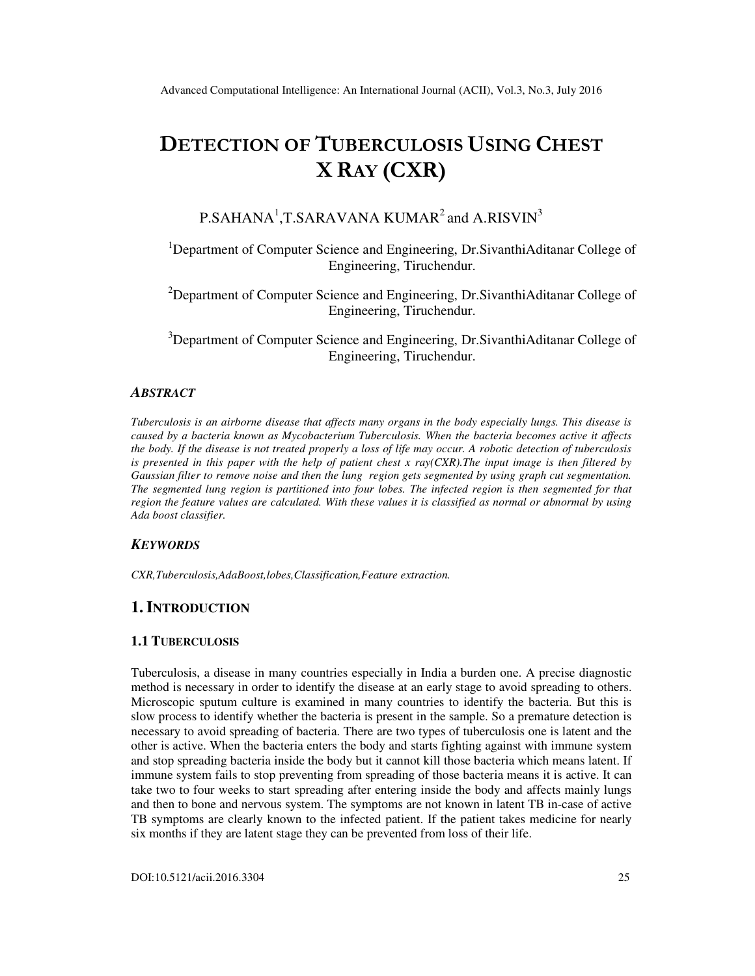# DETECTION OF TUBERCULOSIS USING CHEST X RAY (CXR)

# $P.SAHANA<sup>1</sup>, T.SARAVANA KUMAR<sup>2</sup> and A.RISVIN<sup>3</sup>$

<sup>1</sup>Department of Computer Science and Engineering, Dr.SivanthiAditanar College of Engineering, Tiruchendur.

<sup>2</sup>Department of Computer Science and Engineering, Dr.SivanthiAditanar College of Engineering, Tiruchendur.

<sup>3</sup>Department of Computer Science and Engineering, Dr.SivanthiAditanar College of Engineering, Tiruchendur.

## *ABSTRACT*

*Tuberculosis is an airborne disease that affects many organs in the body especially lungs. This disease is caused by a bacteria known as Mycobacterium Tuberculosis. When the bacteria becomes active it affects the body. If the disease is not treated properly a loss of life may occur. A robotic detection of tuberculosis is presented in this paper with the help of patient chest x ray(CXR).The input image is then filtered by Gaussian filter to remove noise and then the lung region gets segmented by using graph cut segmentation. The segmented lung region is partitioned into four lobes. The infected region is then segmented for that region the feature values are calculated. With these values it is classified as normal or abnormal by using Ada boost classifier.* 

# *KEYWORDS*

*CXR,Tuberculosis,AdaBoost,lobes,Classification,Feature extraction.* 

# **1. INTRODUCTION**

# **1.1 TUBERCULOSIS**

Tuberculosis, a disease in many countries especially in India a burden one. A precise diagnostic method is necessary in order to identify the disease at an early stage to avoid spreading to others. Microscopic sputum culture is examined in many countries to identify the bacteria. But this is slow process to identify whether the bacteria is present in the sample. So a premature detection is necessary to avoid spreading of bacteria. There are two types of tuberculosis one is latent and the other is active. When the bacteria enters the body and starts fighting against with immune system and stop spreading bacteria inside the body but it cannot kill those bacteria which means latent. If immune system fails to stop preventing from spreading of those bacteria means it is active. It can take two to four weeks to start spreading after entering inside the body and affects mainly lungs and then to bone and nervous system. The symptoms are not known in latent TB in-case of active TB symptoms are clearly known to the infected patient. If the patient takes medicine for nearly six months if they are latent stage they can be prevented from loss of their life.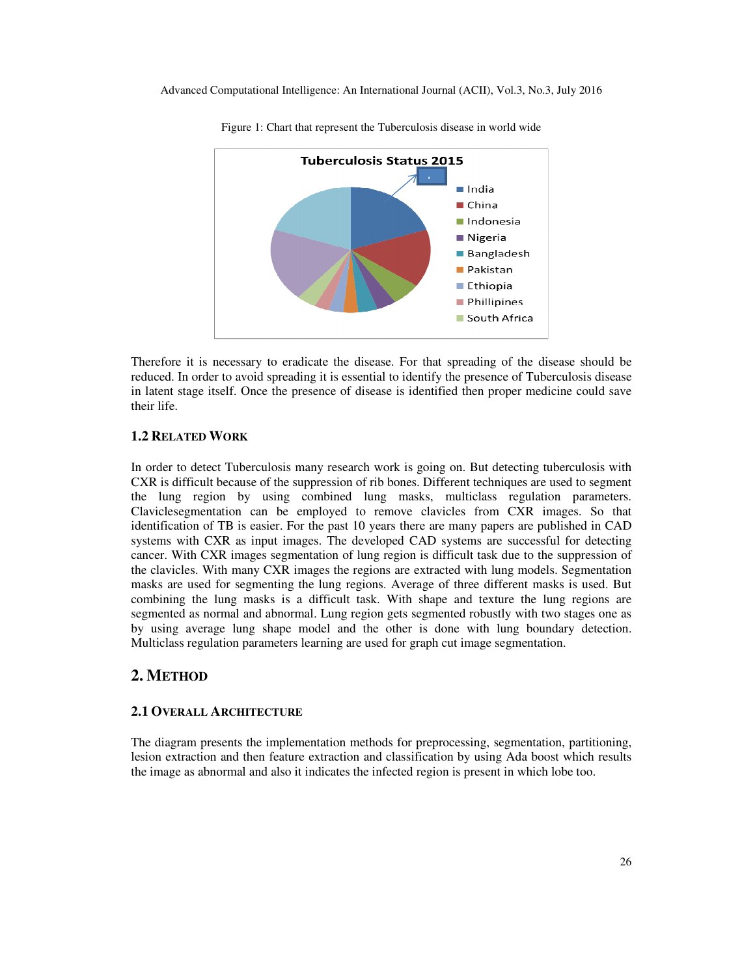

Figure 1: Chart that represent the Tuberculosis disease in world wide

Therefore it is necessary to eradicate the disease. For that spreading of the disease should be reduced. In order to avoid spreading it is essential to identify the presence of Tuberculosis disease in latent stage itself. Once the presence of disease is identified then proper medicine could save their life.

# **1.2 RELATED WORK**

In order to detect Tuberculosis many research work is going on. But detecting tuberculosis with CXR is difficult because of the suppression of rib bones. Different techniques are used to segment the lung region by using combined lung masks, multiclass regulation parameters. Claviclesegmentation can be employed to remove clavicles from CXR images. So that identification of TB is easier. For the past 10 years there are many papers are published in CAD systems with CXR as input images. The developed CAD systems are successful for detecting cancer. With CXR images segmentation of lung region is difficult task due to the suppression of the clavicles. With many CXR images the regions are extracted with lung models. Segmentation masks are used for segmenting the lung regions. Average of three different masks is used. But combining the lung masks is a difficult task. With shape and texture the lung regions are segmented as normal and abnormal. Lung region gets segmented robustly with two stages one as by using average lung shape model and the other is done with lung boundary detection. Multiclass regulation parameters learning are used for graph cut image segmentation.

# **2. METHOD**

## **2.1 OVERALL ARCHITECTURE**

The diagram presents the implementation methods for preprocessing, segmentation, partitioning, lesion extraction and then feature extraction and classification by using Ada boost which results the image as abnormal and also it indicates the infected region is present in which lobe too.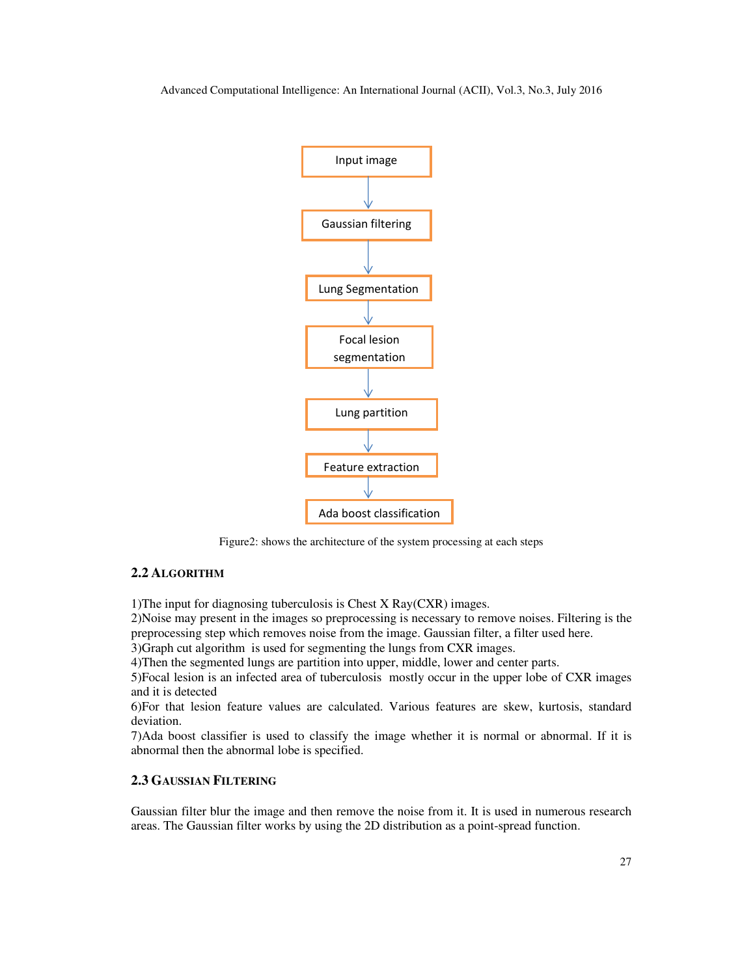

Figure2: shows the architecture of the system processing at each steps

# **2.2 ALGORITHM**

1)The input for diagnosing tuberculosis is Chest X Ray(CXR) images.

2)Noise may present in the images so preprocessing is necessary to remove noises. Filtering is the preprocessing step which removes noise from the image. Gaussian filter, a filter used here.

3)Graph cut algorithm is used for segmenting the lungs from CXR images.

4)Then the segmented lungs are partition into upper, middle, lower and center parts.

5)Focal lesion is an infected area of tuberculosis mostly occur in the upper lobe of CXR images and it is detected

6)For that lesion feature values are calculated. Various features are skew, kurtosis, standard deviation.

7)Ada boost classifier is used to classify the image whether it is normal or abnormal. If it is abnormal then the abnormal lobe is specified.

# **2.3 GAUSSIAN FILTERING**

Gaussian filter blur the image and then remove the noise from it. It is used in numerous research areas. The Gaussian filter works by using the 2D distribution as a point-spread function.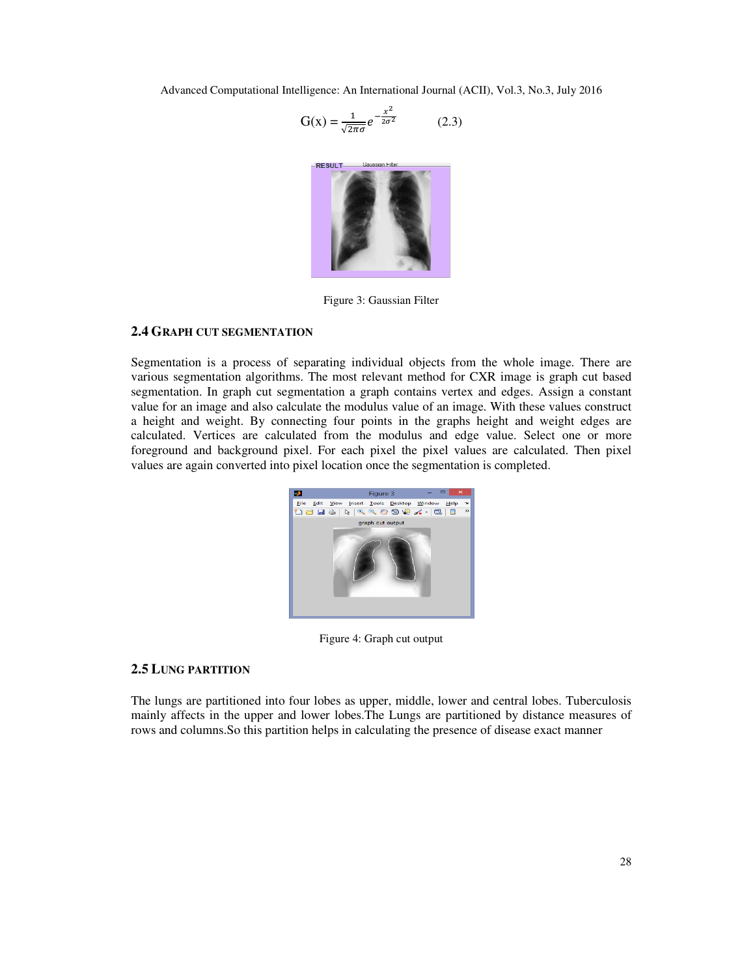$$
G(x) = \frac{1}{\sqrt{2\pi\sigma}} e^{-\frac{x^2}{2\sigma^2}} \tag{2.3}
$$



Figure 3: Gaussian Filter

## **2.4 GRAPH CUT SEGMENTATION**

Segmentation is a process of separating individual objects from the whole image. There are various segmentation algorithms. The most relevant method for CXR image is graph cut based segmentation. In graph cut segmentation a graph contains vertex and edges. Assign a constant value for an image and also calculate the modulus value of an image. With these values construct a height and weight. By connecting four points in the graphs height and weight edges are calculated. Vertices are calculated from the modulus and edge value. Select one or more foreground and background pixel. For each pixel the pixel values are calculated. Then pixel values are again converted into pixel location once the segmentation is completed.



Figure 4: Graph cut output

#### **2.5 LUNG PARTITION**

The lungs are partitioned into four lobes as upper, middle, lower and central lobes. Tuberculosis mainly affects in the upper and lower lobes.The Lungs are partitioned by distance measures of rows and columns.So this partition helps in calculating the presence of disease exact manner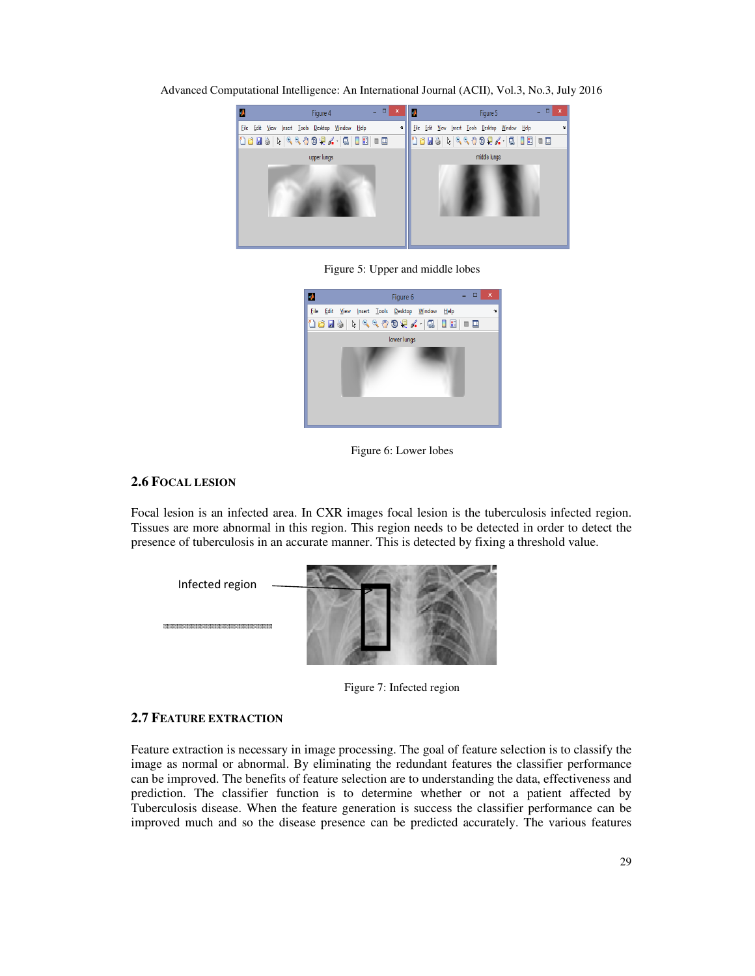Advanced Computational Intelligence: An International Journal (ACII), Vol.3, No.3, July 2016



Figure 5: Upper and middle lobes



Figure 6: Lower lobes

# **2.6 FOCAL LESION**

Focal lesion is an infected area. In CXR images focal lesion is the tuberculosis infected region. Tissues are more abnormal in this region. This region needs to be detected in order to detect the presence of tuberculosis in an accurate manner. This is detected by fixing a threshold value.



Figure 7: Infected region

#### **2.7 FEATURE EXTRACTION**

Feature extraction is necessary in image processing. The goal of feature selection is to classify the image as normal or abnormal. By eliminating the redundant features the classifier performance can be improved. The benefits of feature selection are to understanding the data, effectiveness and prediction. The classifier function is to determine whether or not a patient affected by Tuberculosis disease. When the feature generation is success the classifier performance can be improved much and so the disease presence can be predicted accurately. The various features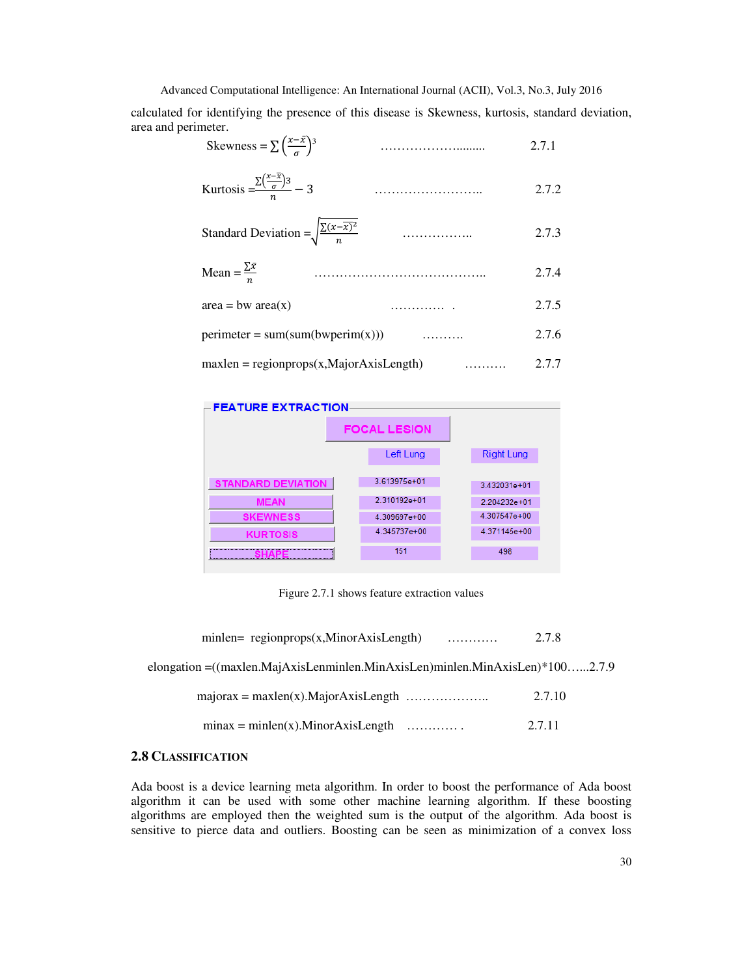calculated for identifying the presence of this disease is Skewness, kurtosis, standard deviation, area and perimeter.

$$
Skewness = \sum \left(\frac{x - \bar{x}}{\sigma}\right)^3 \tag{2.7.1}
$$

Kurtosis = <sup>∑</sup> − 3 …………………….. 2.7.2

Standard Deviation = 
$$
\sqrt{\frac{\sum (x - \overline{x})^2}{n}}
$$
 (11.11)

$$
\text{Mean} = \frac{\sum \bar{x}}{n}
$$
 (2.7.4)

 $area = bw \, area(x)$  …………. . 2.7.5 perimeter =  $sum(sum(bwperim(x)))$  ………. 2.7.6

$$
maxlen = regionprops(x, MajorAxisLength) \qquad \qquad 2.7.7
$$



Figure 2.7.1 shows feature extraction values

|  |  | $minlen = regionprops(x, MinorAxisLength)$ | . | 2.7.8 |
|--|--|--------------------------------------------|---|-------|
|--|--|--------------------------------------------|---|-------|

elongation =((maxlen.MajAxisLenminlen.MinAxisLen)minlen.MinAxisLen)\*100…...2.7.9

| 2.7.10 |
|--------|
|--------|

| $minax = minlen(x).MinorAxisLength$ | . | 2.7.11 |
|-------------------------------------|---|--------|
|-------------------------------------|---|--------|

# **2.8 CLASSIFICATION**

Ada boost is a device learning meta algorithm. In order to boost the performance of Ada boost algorithm it can be used with some other machine learning algorithm. If these boosting algorithms are employed then the weighted sum is the output of the algorithm. Ada boost is sensitive to pierce data and outliers. Boosting can be seen as minimization of a convex loss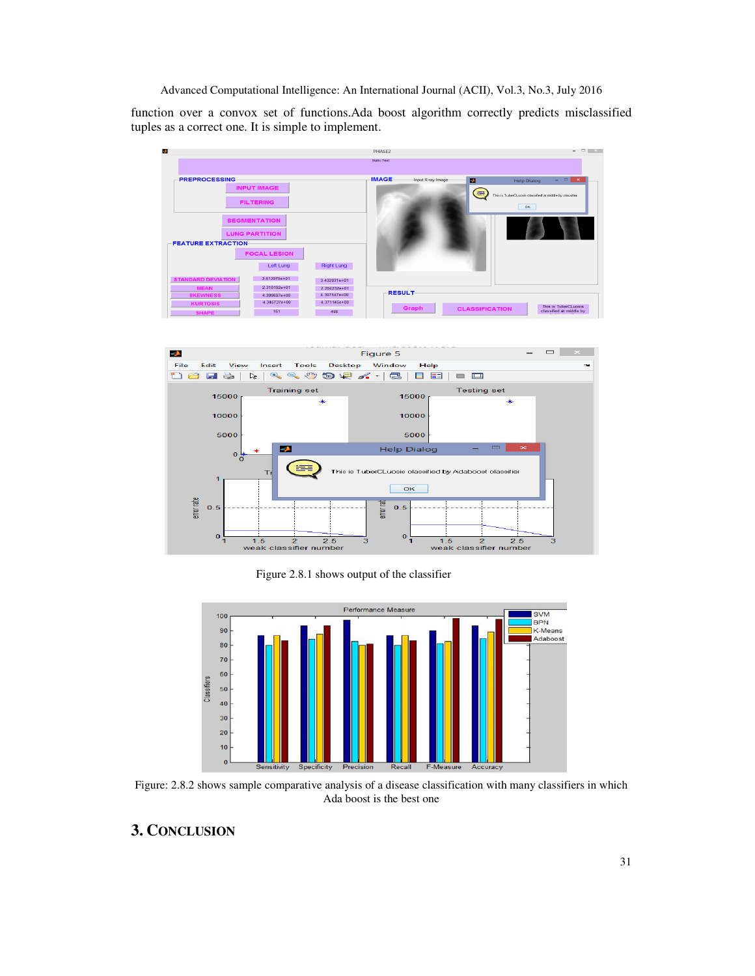function over a convox set of functions.Ada boost algorithm correctly predicts misclassified tuples as a correct one. It is simple to implement.





Figure 2.8.1 shows output of the classifier



Figure: 2.8.2 shows sample comparative analysis of a disease classification with many classifiers in which Ada boost is the best one

# **3. CONCLUSION**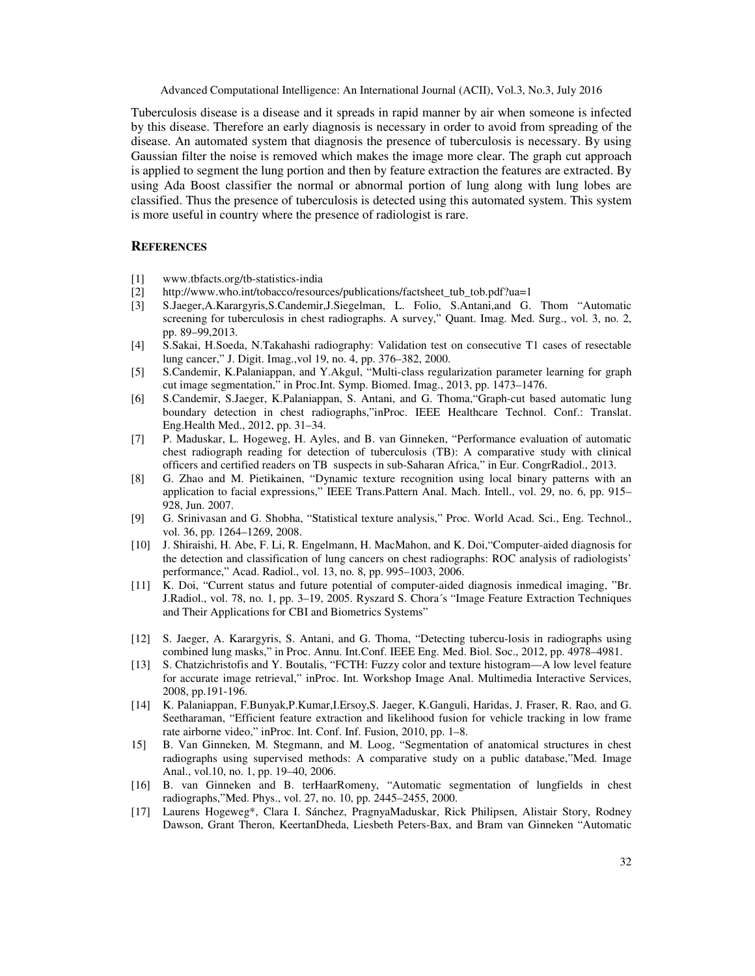Tuberculosis disease is a disease and it spreads in rapid manner by air when someone is infected by this disease. Therefore an early diagnosis is necessary in order to avoid from spreading of the disease. An automated system that diagnosis the presence of tuberculosis is necessary. By using Gaussian filter the noise is removed which makes the image more clear. The graph cut approach is applied to segment the lung portion and then by feature extraction the features are extracted. By using Ada Boost classifier the normal or abnormal portion of lung along with lung lobes are classified. Thus the presence of tuberculosis is detected using this automated system. This system is more useful in country where the presence of radiologist is rare.

#### **REFERENCES**

- [1] www.tbfacts.org/tb-statistics-india
- [2] http://www.who.int/tobacco/resources/publications/factsheet\_tub\_tob.pdf?ua=1
- [3] S.Jaeger,A.Karargyris,S.Candemir,J.Siegelman, L. Folio, S.Antani,and G. Thom "Automatic screening for tuberculosis in chest radiographs. A survey," Quant. Imag. Med. Surg., vol. 3, no. 2, pp. 89–99,2013.
- [4] S.Sakai, H.Soeda, N.Takahashi radiography: Validation test on consecutive T1 cases of resectable lung cancer," J. Digit. Imag.,vol 19, no. 4, pp. 376–382, 2000.
- [5] S.Candemir, K.Palaniappan, and Y.Akgul, "Multi-class regularization parameter learning for graph cut image segmentation," in Proc.Int. Symp. Biomed. Imag., 2013, pp. 1473–1476.
- [6] S.Candemir, S.Jaeger, K.Palaniappan, S. Antani, and G. Thoma,"Graph-cut based automatic lung boundary detection in chest radiographs,"inProc. IEEE Healthcare Technol. Conf.: Translat. Eng.Health Med., 2012, pp. 31–34.
- [7] P. Maduskar, L. Hogeweg, H. Ayles, and B. van Ginneken, "Performance evaluation of automatic chest radiograph reading for detection of tuberculosis (TB): A comparative study with clinical officers and certified readers on TB suspects in sub-Saharan Africa," in Eur. CongrRadiol., 2013.
- [8] G. Zhao and M. Pietikainen, "Dynamic texture recognition using local binary patterns with an application to facial expressions," IEEE Trans.Pattern Anal. Mach. Intell., vol. 29, no. 6, pp. 915– 928, Jun. 2007.
- [9] G. Srinivasan and G. Shobha, "Statistical texture analysis," Proc. World Acad. Sci., Eng. Technol., vol. 36, pp. 1264–1269, 2008.
- [10] J. Shiraishi, H. Abe, F. Li, R. Engelmann, H. MacMahon, and K. Doi,"Computer-aided diagnosis for the detection and classification of lung cancers on chest radiographs: ROC analysis of radiologists' performance," Acad. Radiol., vol. 13, no. 8, pp. 995–1003, 2006.
- [11] K. Doi, "Current status and future potential of computer-aided diagnosis inmedical imaging, "Br. J.Radiol., vol. 78, no. 1, pp. 3–19, 2005. Ryszard S. Chora´s "Image Feature Extraction Techniques and Their Applications for CBI and Biometrics Systems"
- [12] S. Jaeger, A. Karargyris, S. Antani, and G. Thoma, "Detecting tubercu-losis in radiographs using combined lung masks," in Proc. Annu. Int.Conf. IEEE Eng. Med. Biol. Soc., 2012, pp. 4978–4981.
- [13] S. Chatzichristofis and Y. Boutalis, "FCTH: Fuzzy color and texture histogram—A low level feature for accurate image retrieval," inProc. Int. Workshop Image Anal. Multimedia Interactive Services, 2008, pp.191-196.
- [14] K. Palaniappan, F.Bunyak,P.Kumar,I.Ersoy,S. Jaeger, K.Ganguli, Haridas, J. Fraser, R. Rao, and G. Seetharaman, "Efficient feature extraction and likelihood fusion for vehicle tracking in low frame rate airborne video," inProc. Int. Conf. Inf. Fusion, 2010, pp. 1–8.
- 15] B. Van Ginneken, M. Stegmann, and M. Loog, "Segmentation of anatomical structures in chest radiographs using supervised methods: A comparative study on a public database,"Med. Image Anal., vol.10, no. 1, pp. 19–40, 2006.
- [16] B. van Ginneken and B. terHaarRomeny, "Automatic segmentation of lungfields in chest radiographs,"Med. Phys., vol. 27, no. 10, pp. 2445–2455, 2000.
- [17] Laurens Hogeweg\*, Clara I. Sánchez, PragnyaMaduskar, Rick Philipsen, Alistair Story, Rodney Dawson, Grant Theron, KeertanDheda, Liesbeth Peters-Bax, and Bram van Ginneken "Automatic